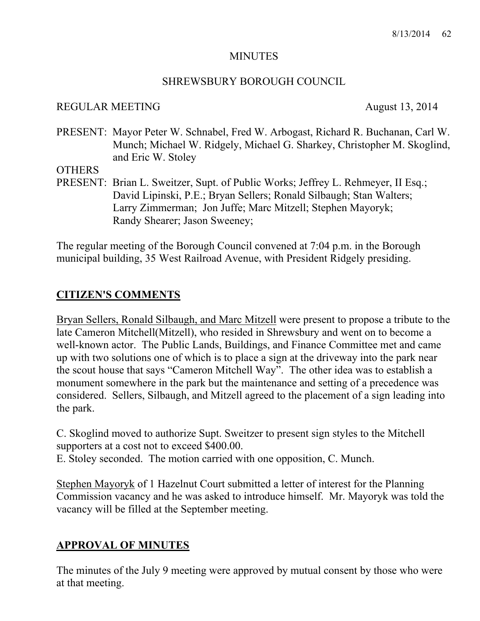#### **MINUTES**

# SHREWSBURY BOROUGH COUNCIL

## REGULAR MEETING August 13, 2014

PRESENT: Mayor Peter W. Schnabel, Fred W. Arbogast, Richard R. Buchanan, Carl W. Munch; Michael W. Ridgely, Michael G. Sharkey, Christopher M. Skoglind, and Eric W. Stoley

### **OTHERS**

PRESENT: Brian L. Sweitzer, Supt. of Public Works; Jeffrey L. Rehmeyer, II Esq.; David Lipinski, P.E.; Bryan Sellers; Ronald Silbaugh; Stan Walters; Larry Zimmerman; Jon Juffe; Marc Mitzell; Stephen Mayoryk; Randy Shearer; Jason Sweeney;

The regular meeting of the Borough Council convened at 7:04 p.m. in the Borough municipal building, 35 West Railroad Avenue, with President Ridgely presiding.

# **CITIZEN'S COMMENTS**

Bryan Sellers, Ronald Silbaugh, and Marc Mitzell were present to propose a tribute to the late Cameron Mitchell(Mitzell), who resided in Shrewsbury and went on to become a well-known actor. The Public Lands, Buildings, and Finance Committee met and came up with two solutions one of which is to place a sign at the driveway into the park near the scout house that says "Cameron Mitchell Way". The other idea was to establish a monument somewhere in the park but the maintenance and setting of a precedence was considered. Sellers, Silbaugh, and Mitzell agreed to the placement of a sign leading into the park.

C. Skoglind moved to authorize Supt. Sweitzer to present sign styles to the Mitchell supporters at a cost not to exceed \$400.00.

E. Stoley seconded. The motion carried with one opposition, C. Munch.

Stephen Mayoryk of 1 Hazelnut Court submitted a letter of interest for the Planning Commission vacancy and he was asked to introduce himself. Mr. Mayoryk was told the vacancy will be filled at the September meeting.

# **APPROVAL OF MINUTES**

The minutes of the July 9 meeting were approved by mutual consent by those who were at that meeting.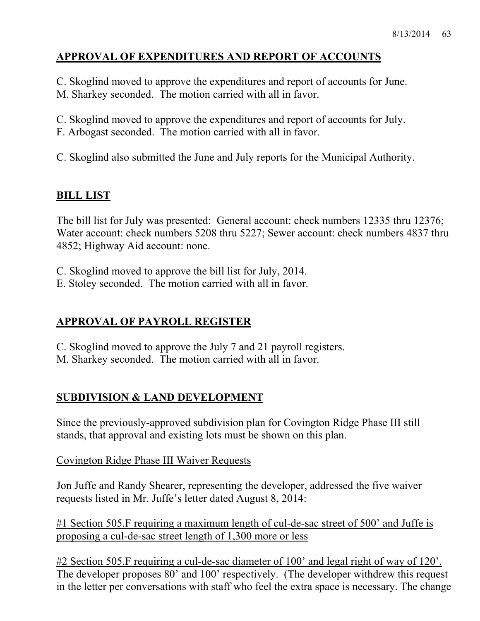# **APPROVAL OF EXPENDITURES AND REPORT OF ACCOUNTS**

C. Skoglind moved to approve the expenditures and report of accounts for June. M. Sharkey seconded. The motion carried with all in favor.

C. Skoglind moved to approve the expenditures and report of accounts for July.

F. Arbogast seconded. The motion carried with all in favor.

C. Skoglind also submitted the June and July reports for the Municipal Authority.

# **BILL LIST**

The bill list for July was presented: General account: check numbers 12335 thru 12376; Water account: check numbers 5208 thru 5227; Sewer account: check numbers 4837 thru 4852; Highway Aid account: none.

C. Skoglind moved to approve the bill list for July, 2014.

E. Stoley seconded. The motion carried with all in favor.

# **APPROVAL OF PAYROLL REGISTER**

C. Skoglind moved to approve the July 7 and 21 payroll registers.

M. Sharkey seconded. The motion carried with all in favor.

# **SUBDIVISION & LAND DEVELOPMENT**

Since the previously-approved subdivision plan for Covington Ridge Phase III still stands, that approval and existing lots must be shown on this plan.

Covington Ridge Phase III Waiver Requests

Jon Juffe and Randy Shearer, representing the developer, addressed the five waiver requests listed in Mr. Juffe's letter dated August 8, 2014:

#1 Section 505.F requiring a maximum length of cul-de-sac street of 500' and Juffe is proposing a cul-de-sac street length of 1,300 more or less

#2 Section 505.F requiring a cul-de-sac diameter of 100' and legal right of way of 120'. The developer proposes 80' and 100' respectively. (The developer withdrew this request in the letter per conversations with staff who feel the extra space is necessary. The change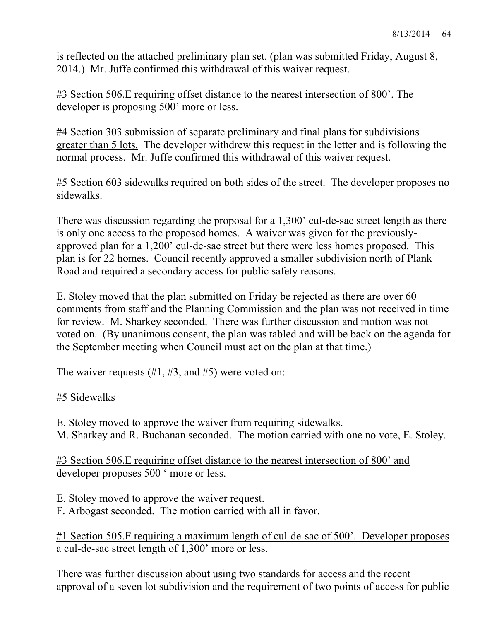is reflected on the attached preliminary plan set. (plan was submitted Friday, August 8, 2014.) Mr. Juffe confirmed this withdrawal of this waiver request.

#3 Section 506.E requiring offset distance to the nearest intersection of 800'. The developer is proposing 500' more or less.

#4 Section 303 submission of separate preliminary and final plans for subdivisions greater than 5 lots. The developer withdrew this request in the letter and is following the normal process. Mr. Juffe confirmed this withdrawal of this waiver request.

#5 Section 603 sidewalks required on both sides of the street. The developer proposes no sidewalks.

There was discussion regarding the proposal for a 1,300' cul-de-sac street length as there is only one access to the proposed homes. A waiver was given for the previouslyapproved plan for a 1,200' cul-de-sac street but there were less homes proposed. This plan is for 22 homes. Council recently approved a smaller subdivision north of Plank Road and required a secondary access for public safety reasons.

E. Stoley moved that the plan submitted on Friday be rejected as there are over 60 comments from staff and the Planning Commission and the plan was not received in time for review. M. Sharkey seconded. There was further discussion and motion was not voted on. (By unanimous consent, the plan was tabled and will be back on the agenda for the September meeting when Council must act on the plan at that time.)

The waiver requests  $(\#1, \#3, \text{ and } \#5)$  were voted on:

# #5 Sidewalks

E. Stoley moved to approve the waiver from requiring sidewalks. M. Sharkey and R. Buchanan seconded. The motion carried with one no vote, E. Stoley.

#3 Section 506.E requiring offset distance to the nearest intersection of 800' and developer proposes 500 ' more or less.

E. Stoley moved to approve the waiver request.

F. Arbogast seconded. The motion carried with all in favor.

#1 Section 505.F requiring a maximum length of cul-de-sac of 500'. Developer proposes a cul-de-sac street length of 1,300' more or less.

There was further discussion about using two standards for access and the recent approval of a seven lot subdivision and the requirement of two points of access for public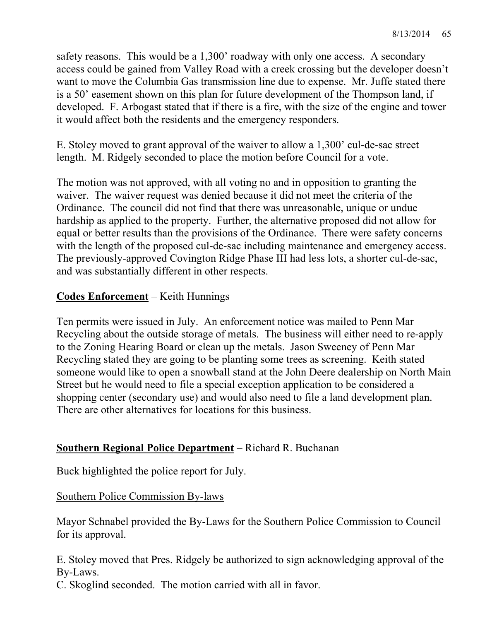safety reasons. This would be a 1,300' roadway with only one access. A secondary access could be gained from Valley Road with a creek crossing but the developer doesn't want to move the Columbia Gas transmission line due to expense. Mr. Juffe stated there is a 50' easement shown on this plan for future development of the Thompson land, if developed. F. Arbogast stated that if there is a fire, with the size of the engine and tower it would affect both the residents and the emergency responders.

E. Stoley moved to grant approval of the waiver to allow a 1,300' cul-de-sac street length. M. Ridgely seconded to place the motion before Council for a vote.

The motion was not approved, with all voting no and in opposition to granting the waiver. The waiver request was denied because it did not meet the criteria of the Ordinance. The council did not find that there was unreasonable, unique or undue hardship as applied to the property. Further, the alternative proposed did not allow for equal or better results than the provisions of the Ordinance. There were safety concerns with the length of the proposed cul-de-sac including maintenance and emergency access. The previously-approved Covington Ridge Phase III had less lots, a shorter cul-de-sac, and was substantially different in other respects.

# **Codes Enforcement** – Keith Hunnings

Ten permits were issued in July. An enforcement notice was mailed to Penn Mar Recycling about the outside storage of metals. The business will either need to re-apply to the Zoning Hearing Board or clean up the metals. Jason Sweeney of Penn Mar Recycling stated they are going to be planting some trees as screening. Keith stated someone would like to open a snowball stand at the John Deere dealership on North Main Street but he would need to file a special exception application to be considered a shopping center (secondary use) and would also need to file a land development plan. There are other alternatives for locations for this business.

# **Southern Regional Police Department** – Richard R. Buchanan

Buck highlighted the police report for July.

# Southern Police Commission By-laws

Mayor Schnabel provided the By-Laws for the Southern Police Commission to Council for its approval.

E. Stoley moved that Pres. Ridgely be authorized to sign acknowledging approval of the By-Laws.

C. Skoglind seconded. The motion carried with all in favor.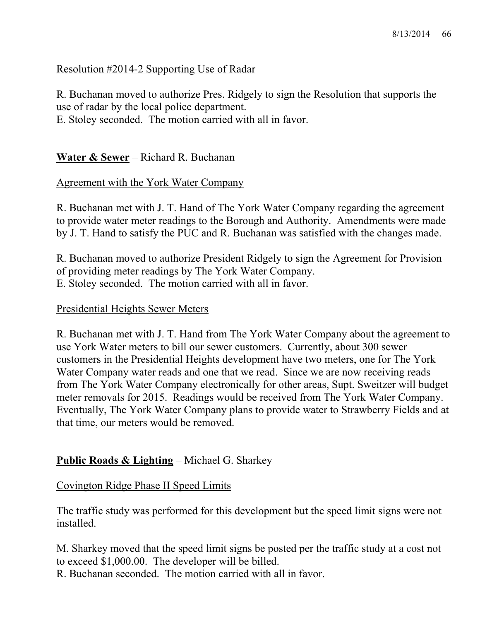# Resolution #2014-2 Supporting Use of Radar

R. Buchanan moved to authorize Pres. Ridgely to sign the Resolution that supports the use of radar by the local police department.

E. Stoley seconded. The motion carried with all in favor.

# **Water & Sewer** – Richard R. Buchanan

# Agreement with the York Water Company

R. Buchanan met with J. T. Hand of The York Water Company regarding the agreement to provide water meter readings to the Borough and Authority. Amendments were made by J. T. Hand to satisfy the PUC and R. Buchanan was satisfied with the changes made.

R. Buchanan moved to authorize President Ridgely to sign the Agreement for Provision of providing meter readings by The York Water Company. E. Stoley seconded. The motion carried with all in favor.

#### Presidential Heights Sewer Meters

R. Buchanan met with J. T. Hand from The York Water Company about the agreement to use York Water meters to bill our sewer customers. Currently, about 300 sewer customers in the Presidential Heights development have two meters, one for The York Water Company water reads and one that we read. Since we are now receiving reads from The York Water Company electronically for other areas, Supt. Sweitzer will budget meter removals for 2015. Readings would be received from The York Water Company. Eventually, The York Water Company plans to provide water to Strawberry Fields and at that time, our meters would be removed.

# **Public Roads & Lighting** – Michael G. Sharkey

# Covington Ridge Phase II Speed Limits

The traffic study was performed for this development but the speed limit signs were not installed.

M. Sharkey moved that the speed limit signs be posted per the traffic study at a cost not to exceed \$1,000.00. The developer will be billed.

R. Buchanan seconded. The motion carried with all in favor.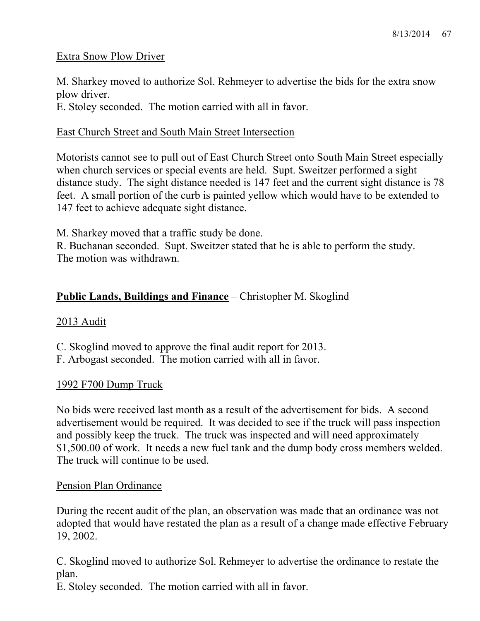# Extra Snow Plow Driver

M. Sharkey moved to authorize Sol. Rehmeyer to advertise the bids for the extra snow plow driver.

E. Stoley seconded. The motion carried with all in favor.

# East Church Street and South Main Street Intersection

Motorists cannot see to pull out of East Church Street onto South Main Street especially when church services or special events are held. Supt. Sweitzer performed a sight distance study. The sight distance needed is 147 feet and the current sight distance is 78 feet. A small portion of the curb is painted yellow which would have to be extended to 147 feet to achieve adequate sight distance.

M. Sharkey moved that a traffic study be done.

R. Buchanan seconded. Supt. Sweitzer stated that he is able to perform the study. The motion was withdrawn.

# **Public Lands, Buildings and Finance** – Christopher M. Skoglind

# 2013 Audit

C. Skoglind moved to approve the final audit report for 2013.

F. Arbogast seconded. The motion carried with all in favor.

# 1992 F700 Dump Truck

No bids were received last month as a result of the advertisement for bids. A second advertisement would be required. It was decided to see if the truck will pass inspection and possibly keep the truck. The truck was inspected and will need approximately \$1,500.00 of work. It needs a new fuel tank and the dump body cross members welded. The truck will continue to be used.

# Pension Plan Ordinance

During the recent audit of the plan, an observation was made that an ordinance was not adopted that would have restated the plan as a result of a change made effective February 19, 2002.

C. Skoglind moved to authorize Sol. Rehmeyer to advertise the ordinance to restate the plan.

E. Stoley seconded. The motion carried with all in favor.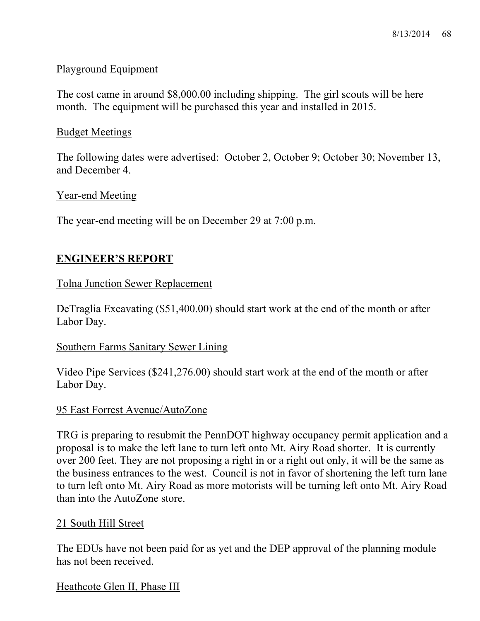# Playground Equipment

The cost came in around \$8,000.00 including shipping. The girl scouts will be here month. The equipment will be purchased this year and installed in 2015.

## Budget Meetings

The following dates were advertised: October 2, October 9; October 30; November 13, and December 4.

### Year-end Meeting

The year-end meeting will be on December 29 at 7:00 p.m.

# **ENGINEER'S REPORT**

### Tolna Junction Sewer Replacement

DeTraglia Excavating (\$51,400.00) should start work at the end of the month or after Labor Day.

#### Southern Farms Sanitary Sewer Lining

Video Pipe Services (\$241,276.00) should start work at the end of the month or after Labor Day.

#### 95 East Forrest Avenue/AutoZone

TRG is preparing to resubmit the PennDOT highway occupancy permit application and a proposal is to make the left lane to turn left onto Mt. Airy Road shorter. It is currently over 200 feet. They are not proposing a right in or a right out only, it will be the same as the business entrances to the west. Council is not in favor of shortening the left turn lane to turn left onto Mt. Airy Road as more motorists will be turning left onto Mt. Airy Road than into the AutoZone store.

# 21 South Hill Street

The EDUs have not been paid for as yet and the DEP approval of the planning module has not been received.

#### Heathcote Glen II, Phase III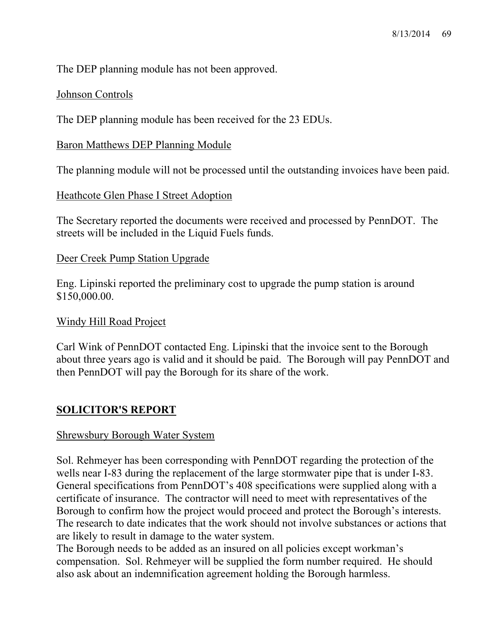The DEP planning module has not been approved.

# Johnson Controls

The DEP planning module has been received for the 23 EDUs.

# Baron Matthews DEP Planning Module

The planning module will not be processed until the outstanding invoices have been paid.

# Heathcote Glen Phase I Street Adoption

The Secretary reported the documents were received and processed by PennDOT. The streets will be included in the Liquid Fuels funds.

# Deer Creek Pump Station Upgrade

Eng. Lipinski reported the preliminary cost to upgrade the pump station is around \$150,000.00.

# Windy Hill Road Project

Carl Wink of PennDOT contacted Eng. Lipinski that the invoice sent to the Borough about three years ago is valid and it should be paid. The Borough will pay PennDOT and then PennDOT will pay the Borough for its share of the work.

# **SOLICITOR'S REPORT**

# Shrewsbury Borough Water System

Sol. Rehmeyer has been corresponding with PennDOT regarding the protection of the wells near I-83 during the replacement of the large stormwater pipe that is under I-83. General specifications from PennDOT's 408 specifications were supplied along with a certificate of insurance. The contractor will need to meet with representatives of the Borough to confirm how the project would proceed and protect the Borough's interests. The research to date indicates that the work should not involve substances or actions that are likely to result in damage to the water system.

The Borough needs to be added as an insured on all policies except workman's compensation. Sol. Rehmeyer will be supplied the form number required. He should also ask about an indemnification agreement holding the Borough harmless.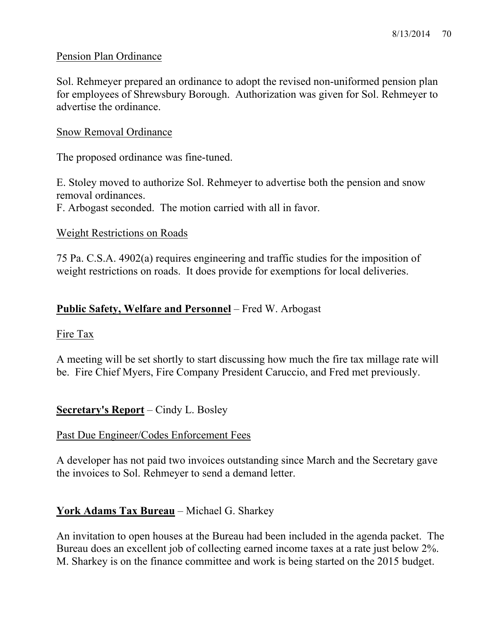## Pension Plan Ordinance

Sol. Rehmeyer prepared an ordinance to adopt the revised non-uniformed pension plan for employees of Shrewsbury Borough. Authorization was given for Sol. Rehmeyer to advertise the ordinance.

#### Snow Removal Ordinance

The proposed ordinance was fine-tuned.

E. Stoley moved to authorize Sol. Rehmeyer to advertise both the pension and snow removal ordinances.

F. Arbogast seconded. The motion carried with all in favor.

### Weight Restrictions on Roads

75 Pa. C.S.A. 4902(a) requires engineering and traffic studies for the imposition of weight restrictions on roads. It does provide for exemptions for local deliveries.

## **Public Safety, Welfare and Personnel** – Fred W. Arbogast

# Fire Tax

A meeting will be set shortly to start discussing how much the fire tax millage rate will be. Fire Chief Myers, Fire Company President Caruccio, and Fred met previously.

# **Secretary's Report** – Cindy L. Bosley

# Past Due Engineer/Codes Enforcement Fees

A developer has not paid two invoices outstanding since March and the Secretary gave the invoices to Sol. Rehmeyer to send a demand letter.

# **York Adams Tax Bureau** – Michael G. Sharkey

An invitation to open houses at the Bureau had been included in the agenda packet. The Bureau does an excellent job of collecting earned income taxes at a rate just below 2%. M. Sharkey is on the finance committee and work is being started on the 2015 budget.